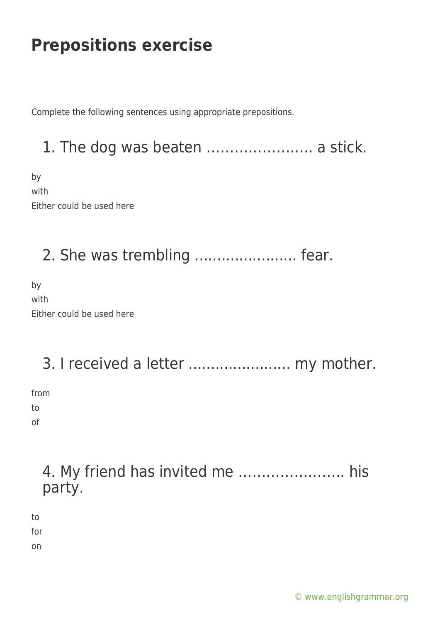Complete the following sentences using appropriate prepositions.



#### 2. She was trembling ....................... fear.

by with Either could be used here

# 3. I received a letter ....................... my mother.

from to of

#### 4. My friend has invited me ………………….. his party.

to

for

on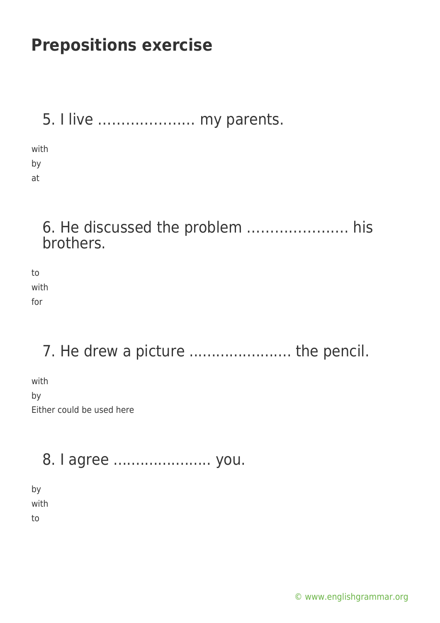#### 5. I live ………………… my parents.

with by at

#### 6. He discussed the problem …………………. his brothers.

to with for

## 7. He drew a picture ........................... the pencil.

with by Either could be used here

#### 8. I agree ...................... you.

by with to

[© www.englishgrammar.org](https://www.englishgrammar.org/)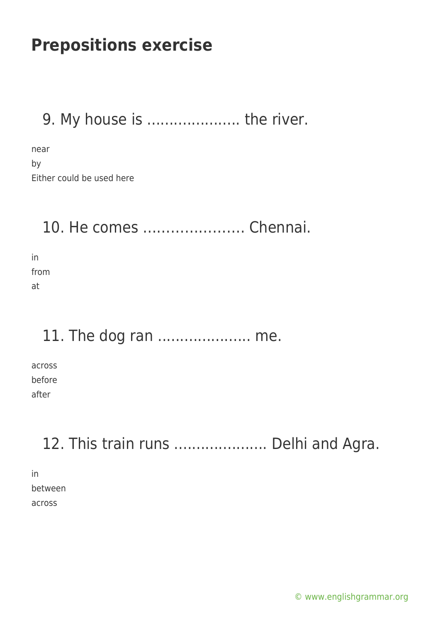## 9. My house is ....................... the river.

near by Either could be used here

#### 10. He comes …………………. Chennai.

in from at

#### 11. The dog ran ..................... me.

across before after

## 12. This train runs ..................... Delhi and Agra.

in between across

[© www.englishgrammar.org](https://www.englishgrammar.org/)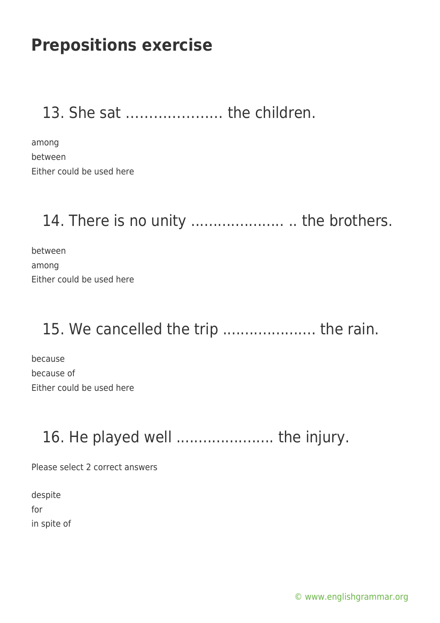## 13. She sat ………………… the children.

among between Either could be used here

## 14. There is no unity ......................... the brothers.

between among Either could be used here

## 15. We cancelled the trip ....................... the rain.

because because of Either could be used here

## 16. He played well ......................... the injury.

Please select 2 correct answers

despite for in spite of

[© www.englishgrammar.org](https://www.englishgrammar.org/)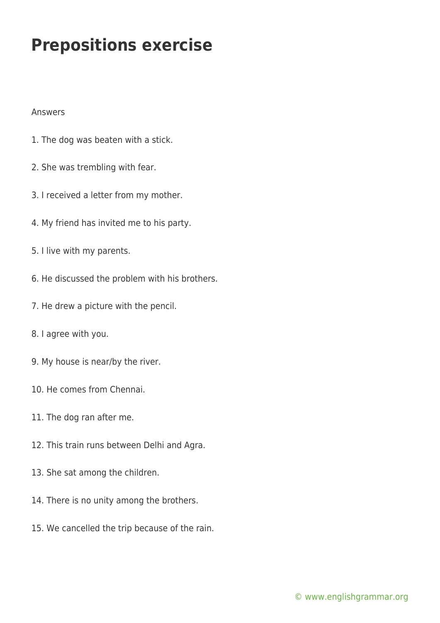#### Answers

- 1. The dog was beaten with a stick.
- 2. She was trembling with fear.
- 3. I received a letter from my mother.
- 4. My friend has invited me to his party.
- 5. I live with my parents.
- 6. He discussed the problem with his brothers.
- 7. He drew a picture with the pencil.
- 8. I agree with you.
- 9. My house is near/by the river.
- 10. He comes from Chennai.
- 11. The dog ran after me.
- 12. This train runs between Delhi and Agra.
- 13. She sat among the children.
- 14. There is no unity among the brothers.
- 15. We cancelled the trip because of the rain.